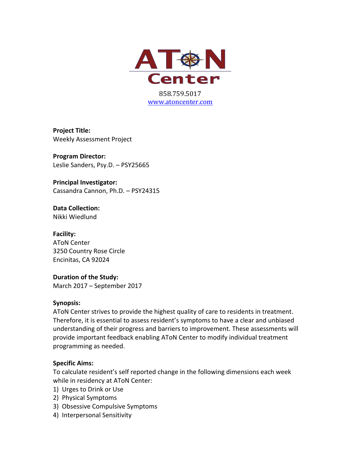

**Project Title:** Weekly Assessment Project

**Program Director:** Leslie Sanders, Psy.D. - PSY25665

**Principal Investigator:** Cassandra Cannon, Ph.D. - PSY24315

**Data Collection:** Nikki Wiedlund

**Facility: AToN Center** 3250 Country Rose Circle Encinitas, CA 92024

**Duration of the Study:** March 2017 - September 2017

#### **Synopsis:**

AToN Center strives to provide the highest quality of care to residents in treatment. Therefore, it is essential to assess resident's symptoms to have a clear and unbiased understanding of their progress and barriers to improvement. These assessments will provide important feedback enabling AToN Center to modify individual treatment programming as needed.

# **Specific Aims:**

To calculate resident's self reported change in the following dimensions each week while in residency at AToN Center:

- 1) Urges to Drink or Use
- 2) Physical Symptoms
- 3) Obsessive Compulsive Symptoms
- 4) Interpersonal Sensitivity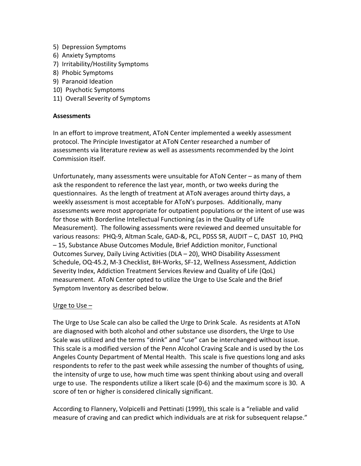- 5) Depression Symptoms
- 6) Anxiety Symptoms
- 7) Irritability/Hostility Symptoms
- 8) Phobic Symptoms
- 9) Paranoid Ideation
- 10) Psychotic Symptoms
- 11) Overall Severity of Symptoms

## **Assessments**

In an effort to improve treatment, AToN Center implemented a weekly assessment protocol. The Principle Investigator at AToN Center researched a number of assessments via literature review as well as assessments recommended by the Joint Commission itself.

Unfortunately, many assessments were unsuitable for AToN Center  $-$  as many of them ask the respondent to reference the last year, month, or two weeks during the questionnaires. As the length of treatment at AToN averages around thirty days, a weekly assessment is most acceptable for AToN's purposes. Additionally, many assessments were most appropriate for outpatient populations or the intent of use was for those with Borderline Intellectual Functioning (as in the Quality of Life Measurement). The following assessments were reviewed and deemed unsuitable for various reasons: PHQ-9, Altman Scale, GAD-&, PCL, PDSS SR, AUDIT - C, DAST 10, PHQ – 15, Substance Abuse Outcomes Module, Brief Addiction monitor, Functional Outcomes Survey, Daily Living Activities (DLA – 20), WHO Disability Assessment Schedule, OQ-45.2, M-3 Checklist, BH-Works, SF-12, Wellness Assessment, Addiction Severity Index, Addiction Treatment Services Review and Quality of Life (QoL) measurement. AToN Center opted to utilize the Urge to Use Scale and the Brief Symptom Inventory as described below.

#### Urge to  $Use -$

The Urge to Use Scale can also be called the Urge to Drink Scale. As residents at AToN are diagnosed with both alcohol and other substance use disorders, the Urge to Use Scale was utilized and the terms "drink" and "use" can be interchanged without issue. This scale is a modified version of the Penn Alcohol Craving Scale and is used by the Los Angeles County Department of Mental Health. This scale is five questions long and asks respondents to refer to the past week while assessing the number of thoughts of using, the intensity of urge to use, how much time was spent thinking about using and overall urge to use. The respondents utilize a likert scale  $(0-6)$  and the maximum score is 30. A score of ten or higher is considered clinically significant.

According to Flannery, Volpicelli and Pettinati (1999), this scale is a "reliable and valid measure of craving and can predict which individuals are at risk for subsequent relapse."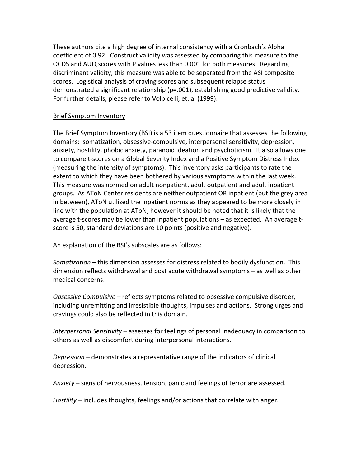These authors cite a high degree of internal consistency with a Cronbach's Alpha coefficient of 0.92. Construct validity was assessed by comparing this measure to the OCDS and AUQ scores with P values less than 0.001 for both measures. Regarding discriminant validity, this measure was able to be separated from the ASI composite scores. Logistical analysis of craving scores and subsequent relapse status demonstrated a significant relationship  $(p=.001)$ , establishing good predictive validity. For further details, please refer to Volpicelli, et. al (1999).

## **Brief Symptom Inventory**

The Brief Symptom Inventory (BSI) is a 53 item questionnaire that assesses the following domains: somatization, obsessive-compulsive, interpersonal sensitivity, depression, anxiety, hostility, phobic anxiety, paranoid ideation and psychoticism. It also allows one to compare t-scores on a Global Severity Index and a Positive Symptom Distress Index (measuring the intensity of symptoms). This inventory asks participants to rate the extent to which they have been bothered by various symptoms within the last week. This measure was normed on adult nonpatient, adult outpatient and adult inpatient groups. As AToN Center residents are neither outpatient OR inpatient (but the grey area in between), AToN utilized the inpatient norms as they appeared to be more closely in line with the population at AToN; however it should be noted that it is likely that the average  $t$ -scores may be lower than inpatient populations  $-$  as expected. An average  $t$ score is 50, standard deviations are 10 points (positive and negative).

An explanation of the BSI's subscales are as follows:

*Somatization* – this dimension assesses for distress related to bodily dysfunction. This dimension reflects withdrawal and post acute withdrawal symptoms – as well as other medical concerns.

*Obsessive Compulsive* – reflects symptoms related to obsessive compulsive disorder, including unremitting and irresistible thoughts, impulses and actions. Strong urges and cravings could also be reflected in this domain.

*Interpersonal Sensitivity* – assesses for feelings of personal inadequacy in comparison to others as well as discomfort during interpersonal interactions.

*Depression* – demonstrates a representative range of the indicators of clinical depression. 

Anxiety – signs of nervousness, tension, panic and feelings of terror are assessed.

*Hostility* – includes thoughts, feelings and/or actions that correlate with anger.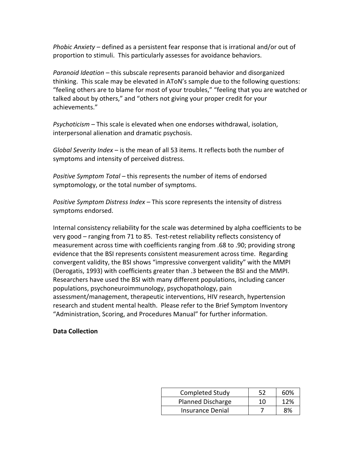*Phobic Anxiety* – defined as a persistent fear response that is irrational and/or out of proportion to stimuli. This particularly assesses for avoidance behaviors.

*Paranoid Ideation* – this subscale represents paranoid behavior and disorganized thinking. This scale may be elevated in AToN's sample due to the following questions: "feeling others are to blame for most of your troubles," "feeling that you are watched or talked about by others," and "others not giving your proper credit for your achievements."

*Psychoticism* – This scale is elevated when one endorses withdrawal, isolation, interpersonal alienation and dramatic psychosis.

*Global Severity Index* – is the mean of all 53 items. It reflects both the number of symptoms and intensity of perceived distress.

*Positive Symptom Total* – this represents the number of items of endorsed symptomology, or the total number of symptoms.

*Positive Symptom Distress Index* – This score represents the intensity of distress symptoms endorsed.

Internal consistency reliability for the scale was determined by alpha coefficients to be very good – ranging from 71 to 85. Test-retest reliability reflects consistency of measurement across time with coefficients ranging from .68 to .90; providing strong evidence that the BSI represents consistent measurement across time. Regarding convergent validity, the BSI shows "impressive convergent validity" with the MMPI (Derogatis, 1993) with coefficients greater than .3 between the BSI and the MMPI. Researchers have used the BSI with many different populations, including cancer populations, psychoneuroimmunology, psychopathology, pain assessment/management, therapeutic interventions, HIV research, hypertension research and student mental health. Please refer to the Brief Symptom Inventory "Administration, Scoring, and Procedures Manual" for further information.

#### **Data Collection**

| <b>Completed Study</b>   |    | 60% |
|--------------------------|----|-----|
| <b>Planned Discharge</b> | 10 | 12% |
| Insurance Denial         |    | 8%  |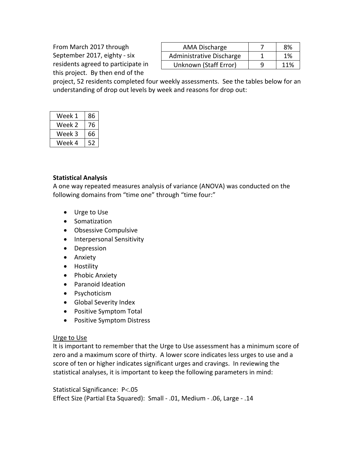From March 2017 through September 2017, eighty - six residents agreed to participate in this project. By then end of the

| AMA Discharge            | 8%  |
|--------------------------|-----|
| Administrative Discharge | 1%  |
| Unknown (Staff Error)    | 11% |

project, 52 residents completed four weekly assessments. See the tables below for an understanding of drop out levels by week and reasons for drop out:

| Week 1 | 86 |
|--------|----|
| Week 2 | 76 |
| Week 3 | 66 |
| Week 4 | 52 |

#### **Statistical Analysis**

A one way repeated measures analysis of variance (ANOVA) was conducted on the following domains from "time one" through "time four:"

- Urge to Use
- Somatization
- Obsessive Compulsive
- Interpersonal Sensitivity
- Depression
- Anxiety
- Hostility
- Phobic Anxiety
- Paranoid Ideation
- Psychoticism
- Global Severity Index
- Positive Symptom Total
- Positive Symptom Distress

# Urge to Use

It is important to remember that the Urge to Use assessment has a minimum score of zero and a maximum score of thirty. A lower score indicates less urges to use and a score of ten or higher indicates significant urges and cravings. In reviewing the statistical analyses, it is important to keep the following parameters in mind:

Statistical Significance: P<.05 Effect Size (Partial Eta Squared): Small - .01, Medium - .06, Large - .14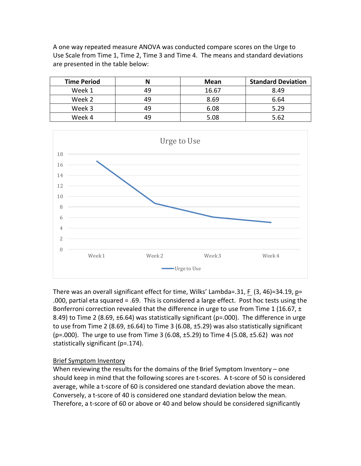A one way repeated measure ANOVA was conducted compare scores on the Urge to Use Scale from Time 1, Time 2, Time 3 and Time 4. The means and standard deviations are presented in the table below:

| <b>Time Period</b> | N  | <b>Mean</b> | <b>Standard Deviation</b> |
|--------------------|----|-------------|---------------------------|
| Week 1             | 49 | 16.67       | 8.49                      |
| Week 2             | 49 | 8.69        | 6.64                      |
| Week 3             | 49 | 6.08        | 5.29                      |
| Week 4             | 49 | 5.08        | 5.62                      |



There was an overall significant effect for time, Wilks' Lambda=.31, F  $(3, 46)$ =34.19, p= .000, partial eta squared = .69. This is considered a large effect. Post hoc tests using the Bonferroni correction revealed that the difference in urge to use from Time 1 (16.67,  $\pm$ 8.49) to Time 2 (8.69,  $\pm$ 6.64) was statistically significant (p=.000). The difference in urge to use from Time 2 (8.69,  $\pm$ 6.64) to Time 3 (6.08,  $\pm$ 5.29) was also statistically significant (p=.000). The urge to use from Time 3 (6.08,  $\pm$ 5.29) to Time 4 (5.08,  $\pm$ 5.62) was *not* statistically significant (p=.174).

#### Brief Symptom Inventory

When reviewing the results for the domains of the Brief Symptom Inventory – one should keep in mind that the following scores are t-scores. A t-score of 50 is considered average, while a t-score of 60 is considered one standard deviation above the mean. Conversely, a t-score of 40 is considered one standard deviation below the mean. Therefore, a t-score of 60 or above or 40 and below should be considered significantly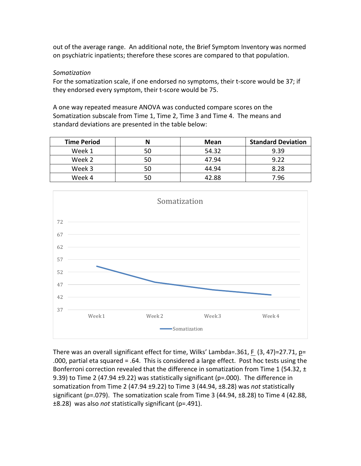out of the average range. An additional note, the Brief Symptom Inventory was normed on psychiatric inpatients; therefore these scores are compared to that population.

## *Somatization*

For the somatization scale, if one endorsed no symptoms, their t-score would be 37; if they endorsed every symptom, their t-score would be 75.

A one way repeated measure ANOVA was conducted compare scores on the Somatization subscale from Time 1, Time 2, Time 3 and Time 4. The means and standard deviations are presented in the table below:

| <b>Time Period</b> |    | <b>Mean</b> | <b>Standard Deviation</b> |
|--------------------|----|-------------|---------------------------|
| Week 1             | 50 | 54.32       | 9.39                      |
| Week 2             | 50 | 47.94       | 9.22                      |
| Week 3             | 50 | 44.94       | 8.28                      |
| Week 4             |    | 42.88       | 7.96                      |



There was an overall significant effect for time, Wilks' Lambda=.361, F  $(3, 47)$ =27.71, p= .000, partial eta squared = .64. This is considered a large effect. Post hoc tests using the Bonferroni correction revealed that the difference in somatization from Time 1 (54.32,  $\pm$ 9.39) to Time 2 (47.94  $\pm$ 9.22) was statistically significant (p=.000). The difference in somatization from Time 2 (47.94 ±9.22) to Time 3 (44.94, ±8.28) was *not* statistically significant (p=.079). The somatization scale from Time 3 (44.94,  $\pm$ 8.28) to Time 4 (42.88, ±8.28) was also *not* statistically significant (p=.491).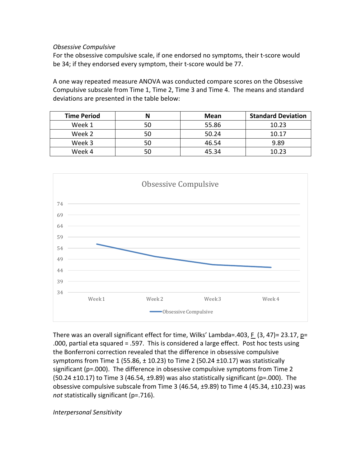#### *Obsessive Compulsive*

For the obsessive compulsive scale, if one endorsed no symptoms, their t-score would be 34; if they endorsed every symptom, their t-score would be 77.

A one way repeated measure ANOVA was conducted compare scores on the Obsessive Compulsive subscale from Time 1, Time 2, Time 3 and Time 4. The means and standard deviations are presented in the table below:

| <b>Time Period</b> |    | <b>Mean</b> | <b>Standard Deviation</b> |
|--------------------|----|-------------|---------------------------|
| Week 1             | 50 | 55.86       | 10.23                     |
| Week 2             | 50 | 50.24       | 10.17                     |
| Week 3             | 50 | 46.54       | 9.89                      |
| Week 4             |    | 45.34       | 10.23                     |



There was an overall significant effect for time, Wilks' Lambda=.403, F  $(3, 47)$ = 23.17, p= .000, partial eta squared  $= .597$ . This is considered a large effect. Post hoc tests using the Bonferroni correction revealed that the difference in obsessive compulsive symptoms from Time 1 (55.86,  $\pm$  10.23) to Time 2 (50.24  $\pm$ 10.17) was statistically significant  $(p=0.00)$ . The difference in obsessive compulsive symptoms from Time 2  $(50.24 \pm 10.17)$  to Time 3 (46.54,  $\pm$ 9.89) was also statistically significant (p=.000). The obsessive compulsive subscale from Time  $3(46.54, \pm 9.89)$  to Time 4 (45.34,  $\pm 10.23$ ) was not statistically significant (p=.716).

*Interpersonal Sensitivity*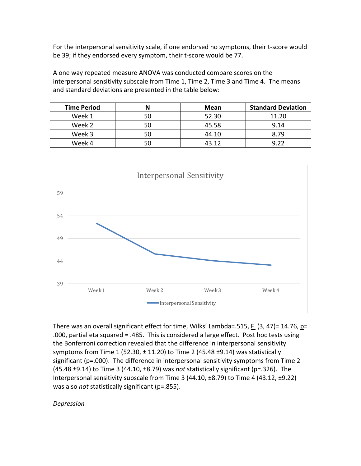For the interpersonal sensitivity scale, if one endorsed no symptoms, their t-score would be 39; if they endorsed every symptom, their t-score would be 77.

A one way repeated measure ANOVA was conducted compare scores on the interpersonal sensitivity subscale from Time 1, Time 2, Time 3 and Time 4. The means and standard deviations are presented in the table below:

| <b>Time Period</b> |    | <b>Mean</b> | <b>Standard Deviation</b> |
|--------------------|----|-------------|---------------------------|
| Week 1             |    | 52.30       | 11.20                     |
| Week 2             | 50 | 45.58       | 9.14                      |
| Week 3             | 50 | 44.10       | 8.79                      |
| Week 4             |    | 43 12       | വ ററ                      |



There was an overall significant effect for time, Wilks' Lambda=.515, F  $(3, 47)$ = 14.76, p= .000, partial eta squared  $= .485$ . This is considered a large effect. Post hoc tests using the Bonferroni correction revealed that the difference in interpersonal sensitivity symptoms from Time 1 (52.30,  $\pm$  11.20) to Time 2 (45.48  $\pm$ 9.14) was statistically significant ( $p=0.000$ ). The difference in interpersonal sensitivity symptoms from Time 2  $(45.48 \pm 9.14)$  to Time 3  $(44.10, \pm 8.79)$  was *not* statistically significant  $(p=.326)$ . The Interpersonal sensitivity subscale from Time  $3(44.10, \pm 8.79)$  to Time 4  $(43.12, \pm 9.22)$ was also *not* statistically significant (p=.855).

#### *Depression*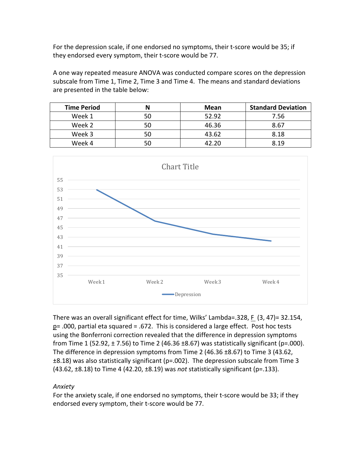For the depression scale, if one endorsed no symptoms, their t-score would be 35; if they endorsed every symptom, their t-score would be 77.

A one way repeated measure ANOVA was conducted compare scores on the depression subscale from Time 1, Time 2, Time 3 and Time 4. The means and standard deviations are presented in the table below:

| <b>Time Period</b> |    | <b>Mean</b> | <b>Standard Deviation</b> |
|--------------------|----|-------------|---------------------------|
| Week 1             | 50 | 52.92       | 7.56                      |
| Week 2             | 50 | 46.36       | 8.67                      |
| Week 3             | 50 | 43.62       | 8.18                      |
| Week 4             | 50 | 42 20       | 8.19                      |



There was an overall significant effect for time, Wilks' Lambda=.328, F (3, 47)= 32.154,  $p=$ .000, partial eta squared = .672. This is considered a large effect. Post hoc tests using the Bonferroni correction revealed that the difference in depression symptoms from Time 1 (52.92,  $\pm$  7.56) to Time 2 (46.36  $\pm$ 8.67) was statistically significant (p=.000). The difference in depression symptoms from Time 2 (46.36  $\pm$ 8.67) to Time 3 (43.62,  $\pm 8.18$ ) was also statistically significant (p=.002). The depression subscale from Time 3  $(43.62, \pm 8.18)$  to Time 4  $(42.20, \pm 8.19)$  was *not* statistically significant  $(p=.133)$ .

#### *Anxiety*

For the anxiety scale, if one endorsed no symptoms, their t-score would be 33; if they endorsed every symptom, their t-score would be 77.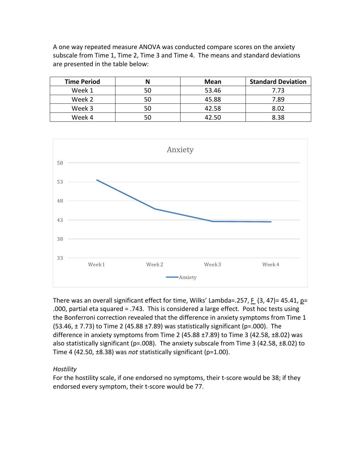A one way repeated measure ANOVA was conducted compare scores on the anxiety subscale from Time 1, Time 2, Time 3 and Time 4. The means and standard deviations are presented in the table below:

| <b>Time Period</b> | N  | Mean  | <b>Standard Deviation</b> |
|--------------------|----|-------|---------------------------|
| Week 1             | 50 | 53.46 | 7.73                      |
| Week 2             | 50 | 45.88 | 7.89                      |
| Week 3             | 50 | 42.58 | 8.02                      |
| Week 4             |    | 42 50 | 8.38                      |



There was an overall significant effect for time, Wilks' Lambda=.257, F  $(3, 47)$ = 45.41, p= .000, partial eta squared = .743. This is considered a large effect. Post hoc tests using the Bonferroni correction revealed that the difference in anxiety symptoms from Time 1  $(53.46, \pm 7.73)$  to Time 2 (45.88  $\pm 7.89$ ) was statistically significant (p=.000). The difference in anxiety symptoms from Time 2  $(45.88 \pm 7.89)$  to Time 3  $(42.58 \pm 8.02)$  was also statistically significant (p=.008). The anxiety subscale from Time 3 (42.58,  $\pm$ 8.02) to Time  $4$  (42.50,  $\pm$ 8.38) was *not* statistically significant (p=1.00).

# *Hostility*

For the hostility scale, if one endorsed no symptoms, their t-score would be 38; if they endorsed every symptom, their t-score would be 77.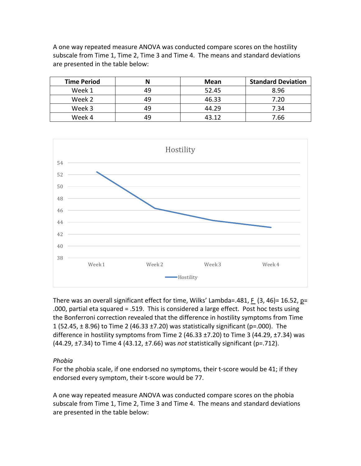A one way repeated measure ANOVA was conducted compare scores on the hostility subscale from Time 1, Time 2, Time 3 and Time 4. The means and standard deviations are presented in the table below:

| <b>Time Period</b> |    | Mean  | <b>Standard Deviation</b> |
|--------------------|----|-------|---------------------------|
| Week 1             | 49 | 52.45 | 8.96                      |
| Week 2             | 49 | 46.33 | 7.20                      |
| Week 3             | 49 | 44.29 | 7.34                      |
| Week 4             | 49 | 43 12 | 7.66                      |



There was an overall significant effect for time, Wilks' Lambda=.481, F  $(3, 46)$ = 16.52, p= .000, partial eta squared  $= .519$ . This is considered a large effect. Post hoc tests using the Bonferroni correction revealed that the difference in hostility symptoms from Time 1  $(52.45, \pm 8.96)$  to Time 2  $(46.33 \pm 7.20)$  was statistically significant  $(p=0.000)$ . The difference in hostility symptoms from Time 2 (46.33  $\pm$ 7.20) to Time 3 (44.29,  $\pm$ 7.34) was  $(44.29, \pm 7.34)$  to Time 4  $(43.12, \pm 7.66)$  was *not* statistically significant  $(p=.712)$ .

#### *Phobia*

For the phobia scale, if one endorsed no symptoms, their t-score would be 41; if they endorsed every symptom, their t-score would be 77.

A one way repeated measure ANOVA was conducted compare scores on the phobia subscale from Time 1, Time 2, Time 3 and Time 4. The means and standard deviations are presented in the table below: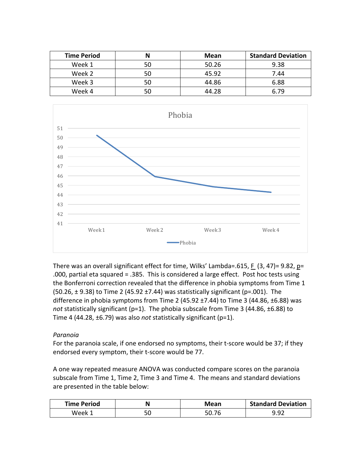| <b>Time Period</b> |    | <b>Mean</b> | <b>Standard Deviation</b> |
|--------------------|----|-------------|---------------------------|
| Week 1             | 50 | 50.26       | 9.38                      |
| Week 2             | 50 | 45.92       | 7.44                      |
| Week 3             | 50 | 44.86       | 6.88                      |
| Week 4             | 50 | 44.28       | 6.79                      |



There was an overall significant effect for time, Wilks' Lambda=.615, F  $(3, 47)$ = 9.82, p= .000, partial eta squared  $= .385$ . This is considered a large effect. Post hoc tests using the Bonferroni correction revealed that the difference in phobia symptoms from Time 1  $(50.26, \pm 9.38)$  to Time 2 (45.92  $\pm 7.44$ ) was statistically significant (p=.001). The difference in phobia symptoms from Time 2 (45.92  $\pm$ 7.44) to Time 3 (44.86,  $\pm$ 6.88) was *not* statistically significant  $(p=1)$ . The phobia subscale from Time 3 (44.86,  $\pm$ 6.88) to Time 4 (44.28,  $\pm$ 6.79) was also *not* statistically significant (p=1).

#### *Paranoia*

For the paranoia scale, if one endorsed no symptoms, their t-score would be 37; if they endorsed every symptom, their t-score would be 77.

A one way repeated measure ANOVA was conducted compare scores on the paranoia subscale from Time 1, Time 2, Time 3 and Time 4. The means and standard deviations are presented in the table below:

| <b>Time Period</b> |           | Mean | <b>Standard Deviation</b> |
|--------------------|-----------|------|---------------------------|
| Week ´             | - ∩<br>JU |      | $\alpha$ $\alpha$         |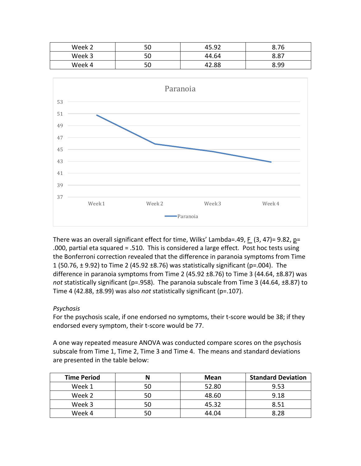| Week 2 | гn<br>่วบ  | 45.92       | 8.76        |
|--------|------------|-------------|-------------|
| Week 3 | r r<br>่วบ | 44.64       | o o-<br>٥.٥ |
| Week 4 | гn<br>่วบ  | 2.88.<br>47 | 8.99        |



There was an overall significant effect for time, Wilks' Lambda=.49, F  $(3, 47)$ = 9.82, p= .000, partial eta squared  $= .510$ . This is considered a large effect. Post hoc tests using the Bonferroni correction revealed that the difference in paranoia symptoms from Time 1 (50.76,  $\pm$  9.92) to Time 2 (45.92  $\pm$ 8.76) was statistically significant (p=.004). The difference in paranoia symptoms from Time 2 (45.92  $\pm$ 8.76) to Time 3 (44.64,  $\pm$ 8.87) was not statistically significant (p=.958). The paranoia subscale from Time 3 (44.64, ±8.87) to Time 4 (42.88,  $\pm$ 8.99) was also *not* statistically significant (p=.107).

#### *Psychosis*

For the psychosis scale, if one endorsed no symptoms, their t-score would be 38; if they endorsed every symptom, their t-score would be 77.

A one way repeated measure ANOVA was conducted compare scores on the psychosis subscale from Time 1, Time 2, Time 3 and Time 4. The means and standard deviations are presented in the table below:

| <b>Time Period</b> |    | <b>Mean</b> | <b>Standard Deviation</b> |
|--------------------|----|-------------|---------------------------|
| Week 1             | 50 | 52.80       | 9.53                      |
| Week 2             | 50 | 48.60       | 9.18                      |
| Week 3             | 50 | 45.32       | 8.51                      |
| Week 4             |    | 44.04       | 8.28                      |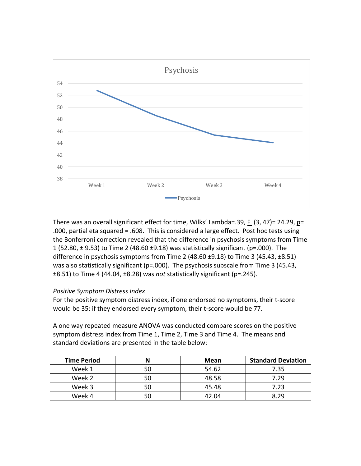

There was an overall significant effect for time, Wilks' Lambda=.39, F  $(3, 47)$ = 24.29, p= .000, partial eta squared  $= .608$ . This is considered a large effect. Post hoc tests using the Bonferroni correction revealed that the difference in psychosis symptoms from Time 1  $(52.80, \pm 9.53)$  to Time 2  $(48.60 \pm 9.18)$  was statistically significant  $(p=0.000)$ . The difference in psychosis symptoms from Time 2  $(48.60 \pm 9.18)$  to Time 3  $(45.43 \pm 8.51)$ was also statistically significant ( $p=0.000$ ). The psychosis subscale from Time 3 (45.43,  $\pm$ 8.51) to Time 4 (44.04,  $\pm$ 8.28) was *not* statistically significant (p=.245).

#### *Positive Symptom Distress Index*

For the positive symptom distress index, if one endorsed no symptoms, their t-score would be 35; if they endorsed every symptom, their t-score would be 77.

A one way repeated measure ANOVA was conducted compare scores on the positive symptom distress index from Time 1, Time 2, Time 3 and Time 4. The means and standard deviations are presented in the table below:

| <b>Time Period</b> | <b>Mean</b> | <b>Standard Deviation</b> |
|--------------------|-------------|---------------------------|
| Week 1             | 54.62       | 7.35                      |
| Week 2             | 48.58       | 7.29                      |
| Week 3             | 45.48       | 7.23                      |
| Week 4             | 42.04       | 8 29                      |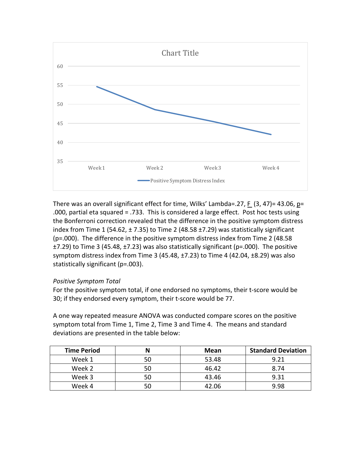

There was an overall significant effect for time, Wilks' Lambda=.27, F  $(3, 47)$ = 43.06, p= .000, partial eta squared = .733. This is considered a large effect. Post hoc tests using the Bonferroni correction revealed that the difference in the positive symptom distress index from Time 1 (54.62,  $\pm$  7.35) to Time 2 (48.58  $\pm$ 7.29) was statistically significant ( $p = .000$ ). The difference in the positive symptom distress index from Time 2 (48.58)  $\pm$ 7.29) to Time 3 (45.48,  $\pm$ 7.23) was also statistically significant (p=.000). The positive symptom distress index from Time 3 (45.48,  $\pm$ 7.23) to Time 4 (42.04,  $\pm$ 8.29) was also statistically significant (p=.003).

#### *Positive Symptom Total*

For the positive symptom total, if one endorsed no symptoms, their t-score would be 30; if they endorsed every symptom, their t-score would be 77.

A one way repeated measure ANOVA was conducted compare scores on the positive symptom total from Time 1, Time 2, Time 3 and Time 4. The means and standard deviations are presented in the table below:

| <b>Time Period</b> |    | <b>Mean</b> | <b>Standard Deviation</b> |
|--------------------|----|-------------|---------------------------|
| Week 1             |    | 53.48       | 9.21                      |
| Week 2             |    | 46.42       | 8.74                      |
| Week 3             | 50 | 43.46       | 9.31                      |
| Week 4             |    | 42 በ6       | 9.98                      |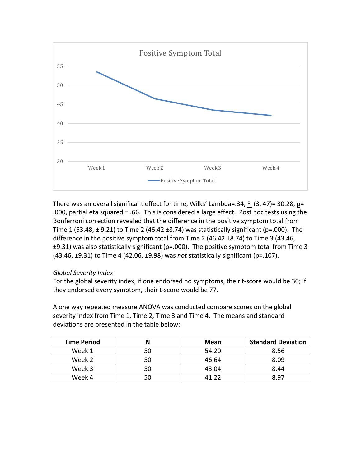

There was an overall significant effect for time, Wilks' Lambda=.34, F  $(3, 47)$ = 30.28, p= .000, partial eta squared = .66. This is considered a large effect. Post hoc tests using the Bonferroni correction revealed that the difference in the positive symptom total from Time 1 (53.48,  $\pm$  9.21) to Time 2 (46.42  $\pm$ 8.74) was statistically significant (p=.000). The difference in the positive symptom total from Time 2 (46.42  $\pm$ 8.74) to Time 3 (43.46,  $\pm$ 9.31) was also statistically significant (p=.000). The positive symptom total from Time 3 (43.46, ±9.31) to Time 4 (42.06, ±9.98) was *not* statistically significant (p=.107).

#### *Global Severity Index*

For the global severity index, if one endorsed no symptoms, their t-score would be 30; if they endorsed every symptom, their t-score would be 77.

A one way repeated measure ANOVA was conducted compare scores on the global severity index from Time 1, Time 2, Time 3 and Time 4. The means and standard deviations are presented in the table below:

| <b>Time Period</b> |    | <b>Mean</b> | <b>Standard Deviation</b> |
|--------------------|----|-------------|---------------------------|
| Week 1             | 50 | 54.20       | 8.56                      |
| Week 2             | 50 | 46.64       | 8.09                      |
| Week 3             | 50 | 43.04       | 8.44                      |
| Week 4             |    | 11 フフ       | 8.97                      |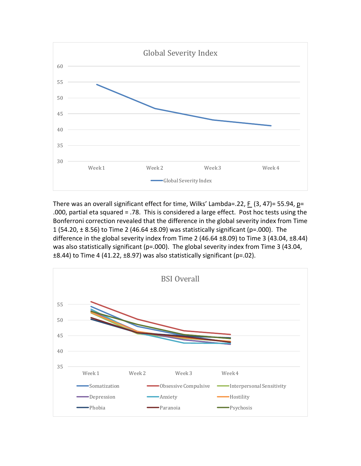

There was an overall significant effect for time, Wilks' Lambda=.22, F  $(3, 47)$ = 55.94, p= .000, partial eta squared = .78. This is considered a large effect. Post hoc tests using the Bonferroni correction revealed that the difference in the global severity index from Time 1 (54.20,  $\pm$  8.56) to Time 2 (46.64  $\pm$ 8.09) was statistically significant (p=.000). The difference in the global severity index from Time 2 (46.64  $\pm$ 8.09) to Time 3 (43.04,  $\pm$ 8.44) was also statistically significant (p=.000). The global severity index from Time 3 (43.04,  $\pm$ 8.44) to Time 4 (41.22,  $\pm$ 8.97) was also statistically significant (p=.02).

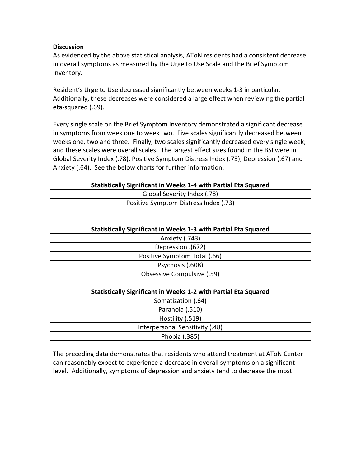#### **Discussion**

As evidenced by the above statistical analysis, AToN residents had a consistent decrease in overall symptoms as measured by the Urge to Use Scale and the Brief Symptom Inventory. 

Resident's Urge to Use decreased significantly between weeks 1-3 in particular. Additionally, these decreases were considered a large effect when reviewing the partial eta-squared (.69).

Every single scale on the Brief Symptom Inventory demonstrated a significant decrease in symptoms from week one to week two. Five scales significantly decreased between weeks one, two and three. Finally, two scales significantly decreased every single week; and these scales were overall scales. The largest effect sizes found in the BSI were in Global Severity Index (.78), Positive Symptom Distress Index (.73), Depression (.67) and Anxiety (.64). See the below charts for further information:

| <b>Statistically Significant in Weeks 1-4 with Partial Eta Squared</b> |  |  |
|------------------------------------------------------------------------|--|--|
| Global Severity Index (.78)                                            |  |  |
| Positive Symptom Distress Index (.73)                                  |  |  |

| <b>Statistically Significant in Weeks 1-3 with Partial Eta Squared</b> |
|------------------------------------------------------------------------|
| Anxiety (.743)                                                         |
| Depression .(672)                                                      |
| Positive Symptom Total (.66)                                           |
| Psychosis (.608)                                                       |
| Obsessive Compulsive (.59)                                             |
|                                                                        |

| <b>Statistically Significant in Weeks 1-2 with Partial Eta Squared</b> |  |  |
|------------------------------------------------------------------------|--|--|
| Somatization (.64)                                                     |  |  |
| Paranoia (.510)                                                        |  |  |
| Hostility (.519)                                                       |  |  |
| Interpersonal Sensitivity (.48)                                        |  |  |
| Phobia (.385)                                                          |  |  |

The preceding data demonstrates that residents who attend treatment at AToN Center can reasonably expect to experience a decrease in overall symptoms on a significant level. Additionally, symptoms of depression and anxiety tend to decrease the most.